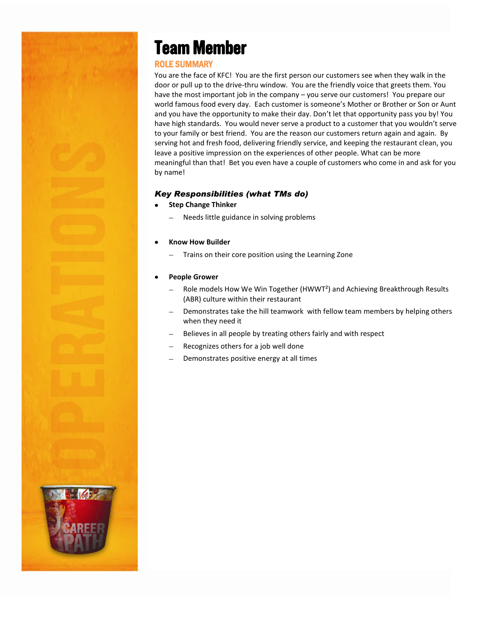## **Team Member**

### ROLE SUMMARY

You are the face of KFC! You are the first person our customers see when they walk in the door or pull up to the drive-thru window. You are the friendly voice that greets them. You have the most important job in the company – you serve our customers! You prepare our world famous food every day. Each customer is someone's Mother or Brother or Son or Aunt and you have the opportunity to make their day. Don't let that opportunity pass you by! You have high standards. You would never serve a product to a customer that you wouldn't serve to your family or best friend. You are the reason our customers return again and again. By serving hot and fresh food, delivering friendly service, and keeping the restaurant clean, you leave a positive impression on the experiences of other people. What can be more meaningful than that! Bet you even have a couple of customers who come in and ask for you by name!

#### *Key Responsibilities (what TMs do)*

- **Step Change Thinker**
	- Needs little guidance in solving problems

#### **Know How Builder**

Trains on their core position using the Learning Zone  $\overline{\phantom{0}}$ 

#### **People Grower**

- Role models How We Win Together (HWWT²) and Achieving Breakthrough Results (ABR) culture within their restaurant
- Demonstrates take the hill teamwork with fellow team members by helping others when they need it
- Believes in all people by treating others fairly and with respect
- Recognizes others for a job well done
- Demonstrates positive energy at all times